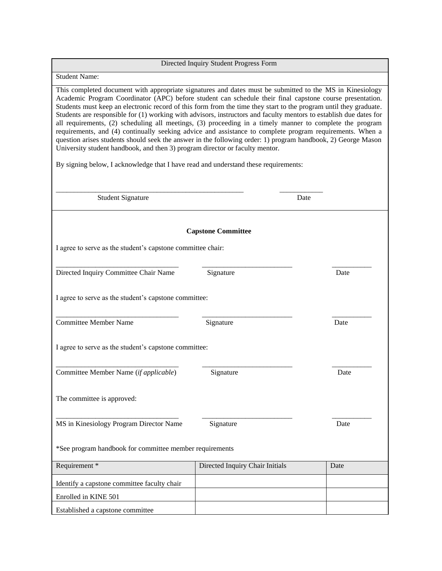| Directed Inquiry Student Progress Form                                                                                                                                                                                                                                                                                                                                                                                                                                                                                                                                                                                                                                                                                                                                                                                                                                                                                                                                         |                                 |      |  |  |  |
|--------------------------------------------------------------------------------------------------------------------------------------------------------------------------------------------------------------------------------------------------------------------------------------------------------------------------------------------------------------------------------------------------------------------------------------------------------------------------------------------------------------------------------------------------------------------------------------------------------------------------------------------------------------------------------------------------------------------------------------------------------------------------------------------------------------------------------------------------------------------------------------------------------------------------------------------------------------------------------|---------------------------------|------|--|--|--|
| <b>Student Name:</b>                                                                                                                                                                                                                                                                                                                                                                                                                                                                                                                                                                                                                                                                                                                                                                                                                                                                                                                                                           |                                 |      |  |  |  |
| This completed document with appropriate signatures and dates must be submitted to the MS in Kinesiology<br>Academic Program Coordinator (APC) before student can schedule their final capstone course presentation.<br>Students must keep an electronic record of this form from the time they start to the program until they graduate.<br>Students are responsible for (1) working with advisors, instructors and faculty mentors to establish due dates for<br>all requirements, (2) scheduling all meetings, (3) proceeding in a timely manner to complete the program<br>requirements, and (4) continually seeking advice and assistance to complete program requirements. When a<br>question arises students should seek the answer in the following order: 1) program handbook, 2) George Mason<br>University student handbook, and then 3) program director or faculty mentor.<br>By signing below, I acknowledge that I have read and understand these requirements: |                                 |      |  |  |  |
| <b>Student Signature</b>                                                                                                                                                                                                                                                                                                                                                                                                                                                                                                                                                                                                                                                                                                                                                                                                                                                                                                                                                       |                                 | Date |  |  |  |
| <b>Capstone Committee</b>                                                                                                                                                                                                                                                                                                                                                                                                                                                                                                                                                                                                                                                                                                                                                                                                                                                                                                                                                      |                                 |      |  |  |  |
| I agree to serve as the student's capstone committee chair:                                                                                                                                                                                                                                                                                                                                                                                                                                                                                                                                                                                                                                                                                                                                                                                                                                                                                                                    |                                 |      |  |  |  |
| Directed Inquiry Committee Chair Name                                                                                                                                                                                                                                                                                                                                                                                                                                                                                                                                                                                                                                                                                                                                                                                                                                                                                                                                          | Signature                       | Date |  |  |  |
| I agree to serve as the student's capstone committee:                                                                                                                                                                                                                                                                                                                                                                                                                                                                                                                                                                                                                                                                                                                                                                                                                                                                                                                          |                                 |      |  |  |  |
| <b>Committee Member Name</b>                                                                                                                                                                                                                                                                                                                                                                                                                                                                                                                                                                                                                                                                                                                                                                                                                                                                                                                                                   | Signature                       | Date |  |  |  |
| I agree to serve as the student's capstone committee:                                                                                                                                                                                                                                                                                                                                                                                                                                                                                                                                                                                                                                                                                                                                                                                                                                                                                                                          |                                 |      |  |  |  |
| Committee Member Name (if applicable)                                                                                                                                                                                                                                                                                                                                                                                                                                                                                                                                                                                                                                                                                                                                                                                                                                                                                                                                          | Signature                       | Date |  |  |  |
| The committee is approved:                                                                                                                                                                                                                                                                                                                                                                                                                                                                                                                                                                                                                                                                                                                                                                                                                                                                                                                                                     |                                 |      |  |  |  |
| MS in Kinesiology Program Director Name                                                                                                                                                                                                                                                                                                                                                                                                                                                                                                                                                                                                                                                                                                                                                                                                                                                                                                                                        | Signature                       | Date |  |  |  |
| *See program handbook for committee member requirements                                                                                                                                                                                                                                                                                                                                                                                                                                                                                                                                                                                                                                                                                                                                                                                                                                                                                                                        |                                 |      |  |  |  |
| Requirement *                                                                                                                                                                                                                                                                                                                                                                                                                                                                                                                                                                                                                                                                                                                                                                                                                                                                                                                                                                  | Directed Inquiry Chair Initials | Date |  |  |  |
| Identify a capstone committee faculty chair                                                                                                                                                                                                                                                                                                                                                                                                                                                                                                                                                                                                                                                                                                                                                                                                                                                                                                                                    |                                 |      |  |  |  |
| Enrolled in KINE 501                                                                                                                                                                                                                                                                                                                                                                                                                                                                                                                                                                                                                                                                                                                                                                                                                                                                                                                                                           |                                 |      |  |  |  |
| Established a capstone committee                                                                                                                                                                                                                                                                                                                                                                                                                                                                                                                                                                                                                                                                                                                                                                                                                                                                                                                                               |                                 |      |  |  |  |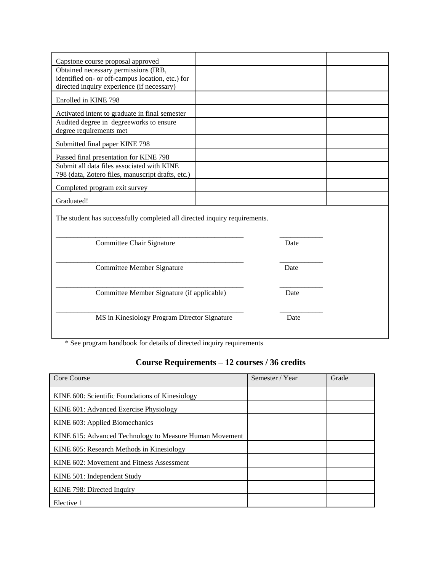| Capstone course proposal approved                                                              |      |  |
|------------------------------------------------------------------------------------------------|------|--|
| Obtained necessary permissions (IRB,                                                           |      |  |
| identified on- or off-campus location, etc.) for<br>directed inquiry experience (if necessary) |      |  |
|                                                                                                |      |  |
| Enrolled in KINE 798                                                                           |      |  |
| Activated intent to graduate in final semester                                                 |      |  |
| Audited degree in degreeworks to ensure                                                        |      |  |
| degree requirements met                                                                        |      |  |
| Submitted final paper KINE 798                                                                 |      |  |
| Passed final presentation for KINE 798                                                         |      |  |
| Submit all data files associated with KINE                                                     |      |  |
| 798 (data, Zotero files, manuscript drafts, etc.)                                              |      |  |
| Completed program exit survey                                                                  |      |  |
| Graduated!                                                                                     |      |  |
| The student has successfully completed all directed inquiry requirements.                      |      |  |
|                                                                                                |      |  |
| Committee Chair Signature                                                                      | Date |  |
|                                                                                                |      |  |
|                                                                                                |      |  |
| Committee Member Signature                                                                     | Date |  |
|                                                                                                |      |  |
| Committee Member Signature (if applicable)                                                     | Date |  |
|                                                                                                |      |  |
|                                                                                                |      |  |
| MS in Kinesiology Program Director Signature                                                   | Date |  |
|                                                                                                |      |  |

\* See program handbook for details of directed inquiry requirements

## **Course Requirements – 12 courses / 36 credits**

| Core Course                                             | Semester / Year | Grade |
|---------------------------------------------------------|-----------------|-------|
| KINE 600: Scientific Foundations of Kinesiology         |                 |       |
| KINE 601: Advanced Exercise Physiology                  |                 |       |
| KINE 603: Applied Biomechanics                          |                 |       |
| KINE 615: Advanced Technology to Measure Human Movement |                 |       |
| KINE 605: Research Methods in Kinesiology               |                 |       |
| KINE 602: Movement and Fitness Assessment               |                 |       |
| KINE 501: Independent Study                             |                 |       |
| KINE 798: Directed Inquiry                              |                 |       |
| Elective 1                                              |                 |       |